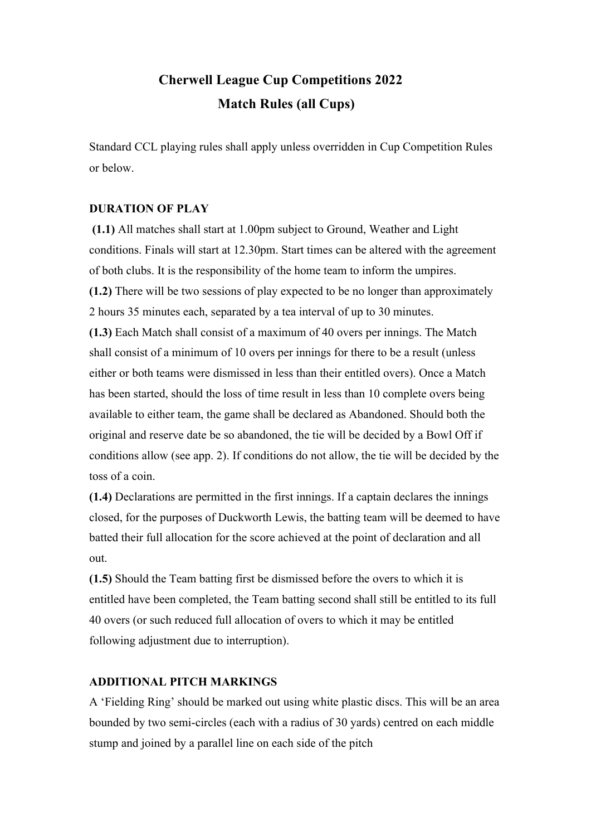# **Cherwell League Cup Competitions 2022 Match Rules (all Cups)**

Standard CCL playing rules shall apply unless overridden in Cup Competition Rules or below.

# **DURATION OF PLAY**

**(1.1)** All matches shall start at 1.00pm subject to Ground, Weather and Light conditions. Finals will start at 12.30pm. Start times can be altered with the agreement of both clubs. It is the responsibility of the home team to inform the umpires. **(1.2)** There will be two sessions of play expected to be no longer than approximately 2 hours 35 minutes each, separated by a tea interval of up to 30 minutes. **(1.3)** Each Match shall consist of a maximum of 40 overs per innings. The Match shall consist of a minimum of 10 overs per innings for there to be a result (unless either or both teams were dismissed in less than their entitled overs). Once a Match has been started, should the loss of time result in less than 10 complete overs being available to either team, the game shall be declared as Abandoned. Should both the original and reserve date be so abandoned, the tie will be decided by a Bowl Off if

conditions allow (see app. 2). If conditions do not allow, the tie will be decided by the toss of a coin.

**(1.4)** Declarations are permitted in the first innings. If a captain declares the innings closed, for the purposes of Duckworth Lewis, the batting team will be deemed to have batted their full allocation for the score achieved at the point of declaration and all out.

**(1.5)** Should the Team batting first be dismissed before the overs to which it is entitled have been completed, the Team batting second shall still be entitled to its full 40 overs (or such reduced full allocation of overs to which it may be entitled following adjustment due to interruption).

# **ADDITIONAL PITCH MARKINGS**

A 'Fielding Ring' should be marked out using white plastic discs. This will be an area bounded by two semi-circles (each with a radius of 30 yards) centred on each middle stump and joined by a parallel line on each side of the pitch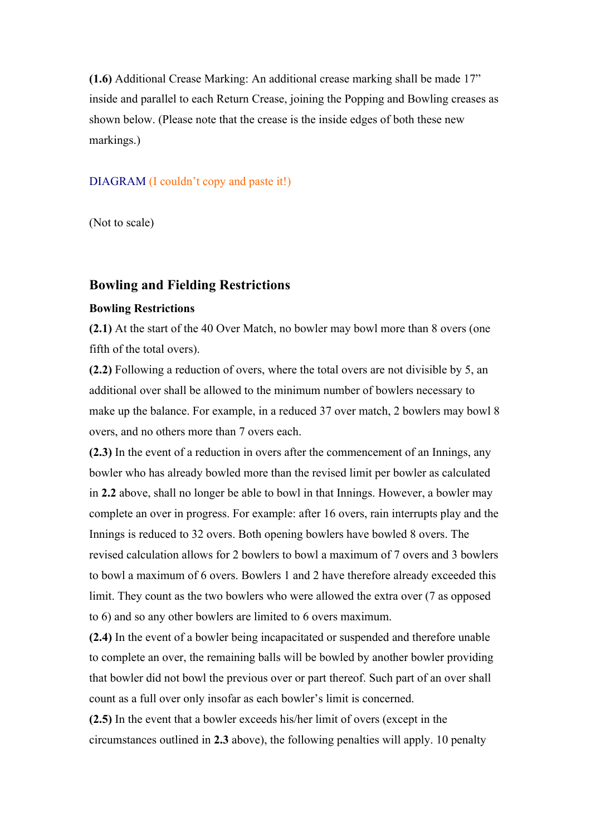**(1.6)** Additional Crease Marking: An additional crease marking shall be made 17" inside and parallel to each Return Crease, joining the Popping and Bowling creases as shown below. (Please note that the crease is the inside edges of both these new markings.)

#### DIAGRAM (I couldn't copy and paste it!)

(Not to scale)

#### **Bowling and Fielding Restrictions**

#### **Bowling Restrictions**

**(2.1)** At the start of the 40 Over Match, no bowler may bowl more than 8 overs (one fifth of the total overs).

**(2.2)** Following a reduction of overs, where the total overs are not divisible by 5, an additional over shall be allowed to the minimum number of bowlers necessary to make up the balance. For example, in a reduced 37 over match, 2 bowlers may bowl 8 overs, and no others more than 7 overs each.

**(2.3)** In the event of a reduction in overs after the commencement of an Innings, any bowler who has already bowled more than the revised limit per bowler as calculated in **2.2** above, shall no longer be able to bowl in that Innings. However, a bowler may complete an over in progress. For example: after 16 overs, rain interrupts play and the Innings is reduced to 32 overs. Both opening bowlers have bowled 8 overs. The revised calculation allows for 2 bowlers to bowl a maximum of 7 overs and 3 bowlers to bowl a maximum of 6 overs. Bowlers 1 and 2 have therefore already exceeded this limit. They count as the two bowlers who were allowed the extra over (7 as opposed to 6) and so any other bowlers are limited to 6 overs maximum.

**(2.4)** In the event of a bowler being incapacitated or suspended and therefore unable to complete an over, the remaining balls will be bowled by another bowler providing that bowler did not bowl the previous over or part thereof. Such part of an over shall count as a full over only insofar as each bowler's limit is concerned.

**(2.5)** In the event that a bowler exceeds his/her limit of overs (except in the circumstances outlined in **2.3** above), the following penalties will apply. 10 penalty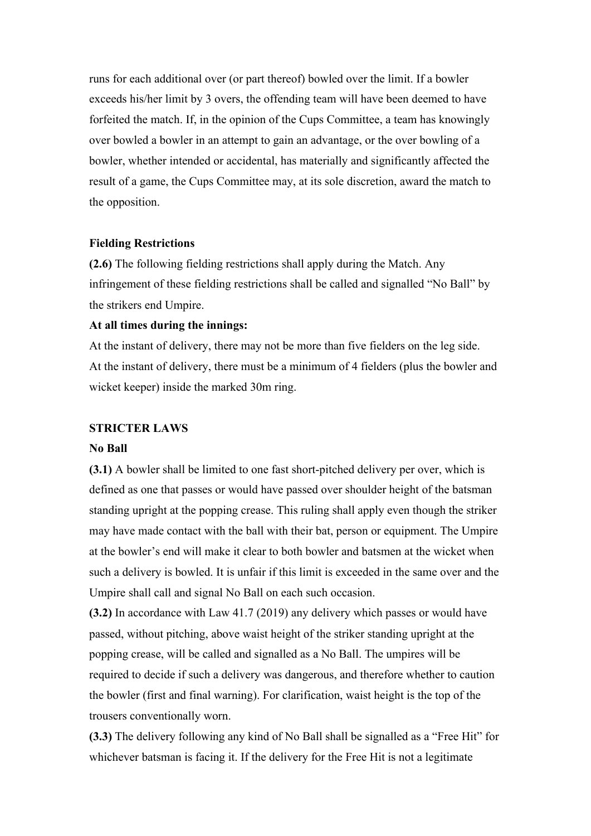runs for each additional over (or part thereof) bowled over the limit. If a bowler exceeds his/her limit by 3 overs, the offending team will have been deemed to have forfeited the match. If, in the opinion of the Cups Committee, a team has knowingly over bowled a bowler in an attempt to gain an advantage, or the over bowling of a bowler, whether intended or accidental, has materially and significantly affected the result of a game, the Cups Committee may, at its sole discretion, award the match to the opposition.

## **Fielding Restrictions**

**(2.6)** The following fielding restrictions shall apply during the Match. Any infringement of these fielding restrictions shall be called and signalled "No Ball" by the strikers end Umpire.

#### **At all times during the innings:**

At the instant of delivery, there may not be more than five fielders on the leg side. At the instant of delivery, there must be a minimum of 4 fielders (plus the bowler and wicket keeper) inside the marked 30m ring.

#### **STRICTER LAWS**

#### **No Ball**

**(3.1)** A bowler shall be limited to one fast short-pitched delivery per over, which is defined as one that passes or would have passed over shoulder height of the batsman standing upright at the popping crease. This ruling shall apply even though the striker may have made contact with the ball with their bat, person or equipment. The Umpire at the bowler's end will make it clear to both bowler and batsmen at the wicket when such a delivery is bowled. It is unfair if this limit is exceeded in the same over and the Umpire shall call and signal No Ball on each such occasion.

**(3.2)** In accordance with Law 41.7 (2019) any delivery which passes or would have passed, without pitching, above waist height of the striker standing upright at the popping crease, will be called and signalled as a No Ball. The umpires will be required to decide if such a delivery was dangerous, and therefore whether to caution the bowler (first and final warning). For clarification, waist height is the top of the trousers conventionally worn.

**(3.3)** The delivery following any kind of No Ball shall be signalled as a "Free Hit" for whichever batsman is facing it. If the delivery for the Free Hit is not a legitimate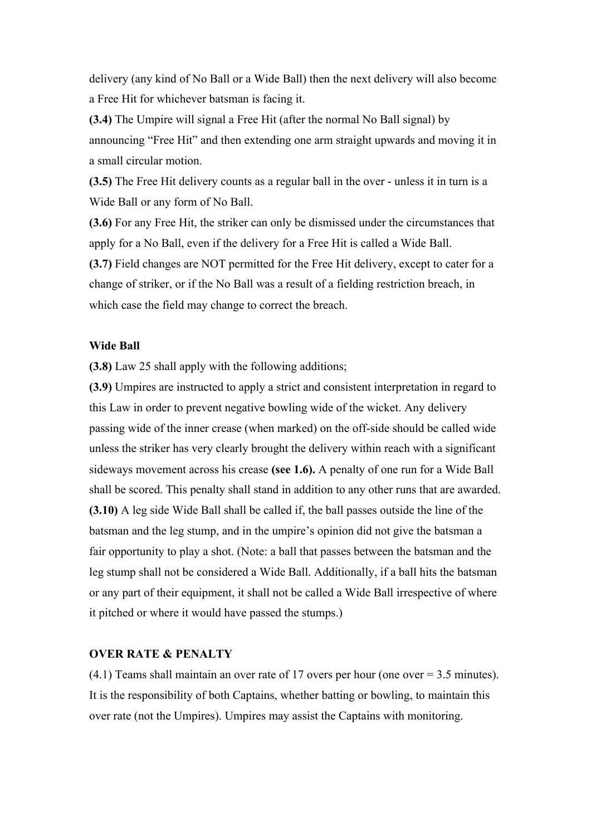delivery (any kind of No Ball or a Wide Ball) then the next delivery will also become a Free Hit for whichever batsman is facing it.

**(3.4)** The Umpire will signal a Free Hit (after the normal No Ball signal) by announcing "Free Hit" and then extending one arm straight upwards and moving it in a small circular motion.

**(3.5)** The Free Hit delivery counts as a regular ball in the over - unless it in turn is a Wide Ball or any form of No Ball.

**(3.6)** For any Free Hit, the striker can only be dismissed under the circumstances that apply for a No Ball, even if the delivery for a Free Hit is called a Wide Ball. **(3.7)** Field changes are NOT permitted for the Free Hit delivery, except to cater for a change of striker, or if the No Ball was a result of a fielding restriction breach, in which case the field may change to correct the breach.

#### **Wide Ball**

**(3.8)** Law 25 shall apply with the following additions;

**(3.9)** Umpires are instructed to apply a strict and consistent interpretation in regard to this Law in order to prevent negative bowling wide of the wicket. Any delivery passing wide of the inner crease (when marked) on the off-side should be called wide unless the striker has very clearly brought the delivery within reach with a significant sideways movement across his crease **(see 1.6).** A penalty of one run for a Wide Ball shall be scored. This penalty shall stand in addition to any other runs that are awarded. **(3.10)** A leg side Wide Ball shall be called if, the ball passes outside the line of the batsman and the leg stump, and in the umpire's opinion did not give the batsman a fair opportunity to play a shot. (Note: a ball that passes between the batsman and the leg stump shall not be considered a Wide Ball. Additionally, if a ball hits the batsman or any part of their equipment, it shall not be called a Wide Ball irrespective of where it pitched or where it would have passed the stumps.)

#### **OVER RATE & PENALTY**

(4.1) Teams shall maintain an over rate of 17 overs per hour (one over = 3.5 minutes). It is the responsibility of both Captains, whether batting or bowling, to maintain this over rate (not the Umpires). Umpires may assist the Captains with monitoring.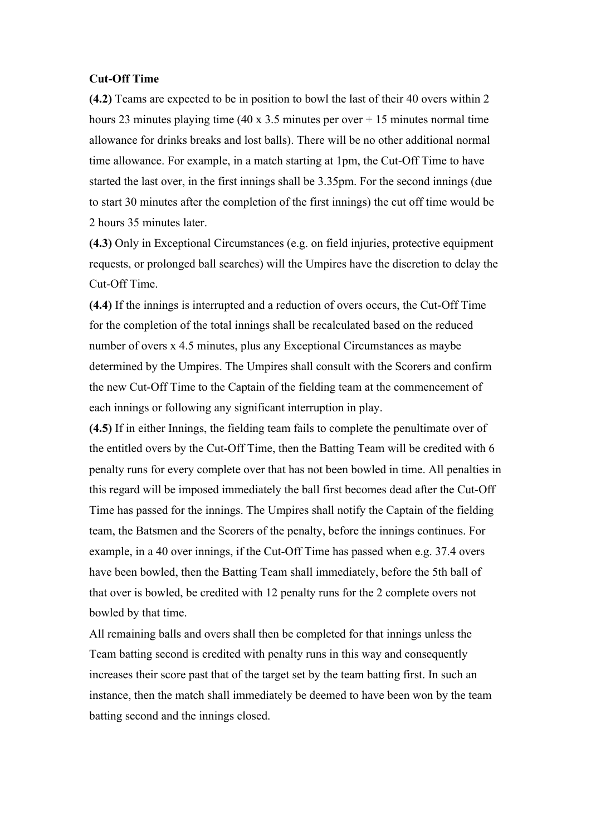#### **Cut-Off Time**

**(4.2)** Teams are expected to be in position to bowl the last of their 40 overs within 2 hours 23 minutes playing time (40 x 3.5 minutes per over  $+15$  minutes normal time allowance for drinks breaks and lost balls). There will be no other additional normal time allowance. For example, in a match starting at 1pm, the Cut-Off Time to have started the last over, in the first innings shall be 3.35pm. For the second innings (due to start 30 minutes after the completion of the first innings) the cut off time would be 2 hours 35 minutes later.

**(4.3)** Only in Exceptional Circumstances (e.g. on field injuries, protective equipment requests, or prolonged ball searches) will the Umpires have the discretion to delay the Cut-Off Time.

**(4.4)** If the innings is interrupted and a reduction of overs occurs, the Cut-Off Time for the completion of the total innings shall be recalculated based on the reduced number of overs x 4.5 minutes, plus any Exceptional Circumstances as maybe determined by the Umpires. The Umpires shall consult with the Scorers and confirm the new Cut-Off Time to the Captain of the fielding team at the commencement of each innings or following any significant interruption in play.

**(4.5)** If in either Innings, the fielding team fails to complete the penultimate over of the entitled overs by the Cut-Off Time, then the Batting Team will be credited with 6 penalty runs for every complete over that has not been bowled in time. All penalties in this regard will be imposed immediately the ball first becomes dead after the Cut-Off Time has passed for the innings. The Umpires shall notify the Captain of the fielding team, the Batsmen and the Scorers of the penalty, before the innings continues. For example, in a 40 over innings, if the Cut-Off Time has passed when e.g. 37.4 overs have been bowled, then the Batting Team shall immediately, before the 5th ball of that over is bowled, be credited with 12 penalty runs for the 2 complete overs not bowled by that time.

All remaining balls and overs shall then be completed for that innings unless the Team batting second is credited with penalty runs in this way and consequently increases their score past that of the target set by the team batting first. In such an instance, then the match shall immediately be deemed to have been won by the team batting second and the innings closed.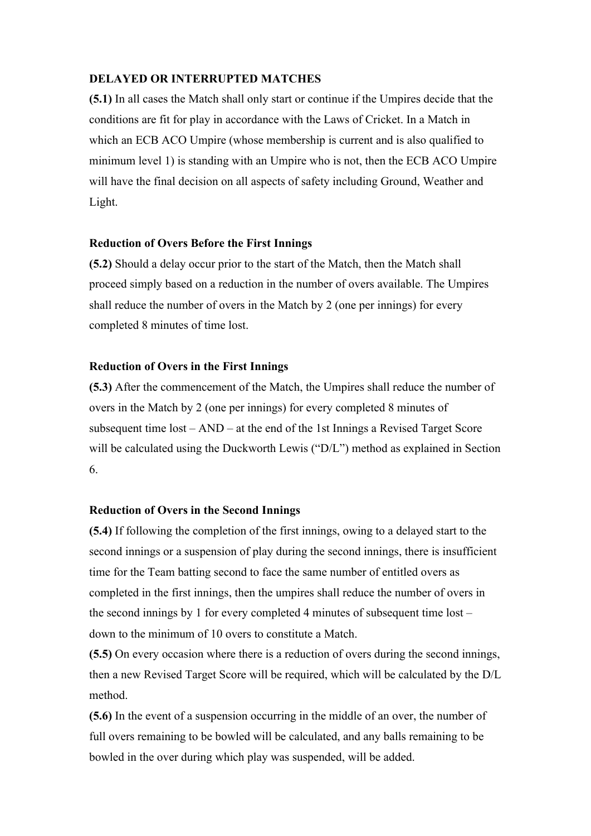## **DELAYED OR INTERRUPTED MATCHES**

**(5.1)** In all cases the Match shall only start or continue if the Umpires decide that the conditions are fit for play in accordance with the Laws of Cricket. In a Match in which an ECB ACO Umpire (whose membership is current and is also qualified to minimum level 1) is standing with an Umpire who is not, then the ECB ACO Umpire will have the final decision on all aspects of safety including Ground, Weather and Light.

#### **Reduction of Overs Before the First Innings**

**(5.2)** Should a delay occur prior to the start of the Match, then the Match shall proceed simply based on a reduction in the number of overs available. The Umpires shall reduce the number of overs in the Match by 2 (one per innings) for every completed 8 minutes of time lost.

#### **Reduction of Overs in the First Innings**

**(5.3)** After the commencement of the Match, the Umpires shall reduce the number of overs in the Match by 2 (one per innings) for every completed 8 minutes of subsequent time lost – AND – at the end of the 1st Innings a Revised Target Score will be calculated using the Duckworth Lewis ("D/L") method as explained in Section 6.

#### **Reduction of Overs in the Second Innings**

**(5.4)** If following the completion of the first innings, owing to a delayed start to the second innings or a suspension of play during the second innings, there is insufficient time for the Team batting second to face the same number of entitled overs as completed in the first innings, then the umpires shall reduce the number of overs in the second innings by 1 for every completed 4 minutes of subsequent time lost – down to the minimum of 10 overs to constitute a Match.

**(5.5)** On every occasion where there is a reduction of overs during the second innings, then a new Revised Target Score will be required, which will be calculated by the D/L method.

**(5.6)** In the event of a suspension occurring in the middle of an over, the number of full overs remaining to be bowled will be calculated, and any balls remaining to be bowled in the over during which play was suspended, will be added.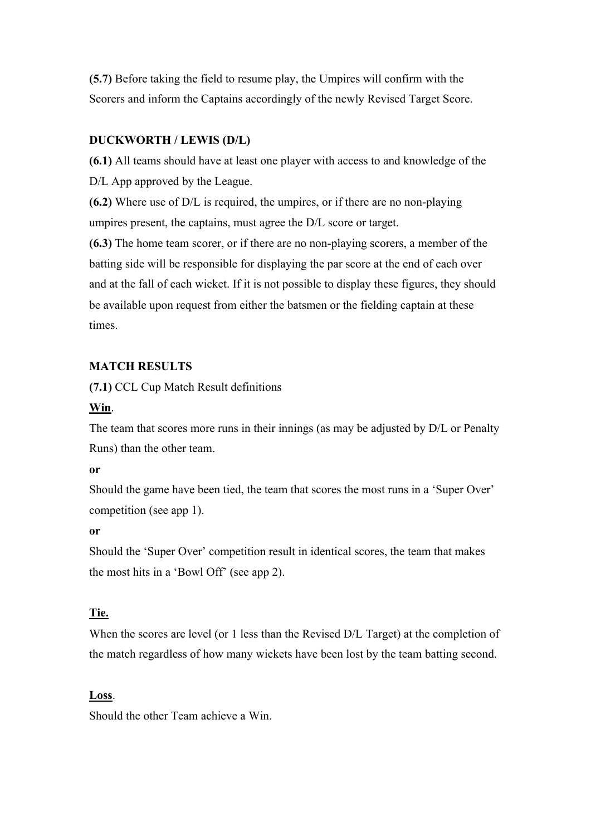**(5.7)** Before taking the field to resume play, the Umpires will confirm with the Scorers and inform the Captains accordingly of the newly Revised Target Score.

# **DUCKWORTH / LEWIS (D/L)**

**(6.1)** All teams should have at least one player with access to and knowledge of the D/L App approved by the League.

**(6.2)** Where use of D/L is required, the umpires, or if there are no non-playing umpires present, the captains, must agree the D/L score or target.

**(6.3)** The home team scorer, or if there are no non-playing scorers, a member of the batting side will be responsible for displaying the par score at the end of each over and at the fall of each wicket. If it is not possible to display these figures, they should be available upon request from either the batsmen or the fielding captain at these times.

# **MATCH RESULTS**

**(7.1)** CCL Cup Match Result definitions

## **Win**.

The team that scores more runs in their innings (as may be adjusted by D/L or Penalty Runs) than the other team.

#### **or**

Should the game have been tied, the team that scores the most runs in a 'Super Over' competition (see app 1).

## **or**

Should the 'Super Over' competition result in identical scores, the team that makes the most hits in a 'Bowl Off' (see app 2).

# **Tie.**

When the scores are level (or 1 less than the Revised D/L Target) at the completion of the match regardless of how many wickets have been lost by the team batting second.

## **Loss**.

Should the other Team achieve a Win.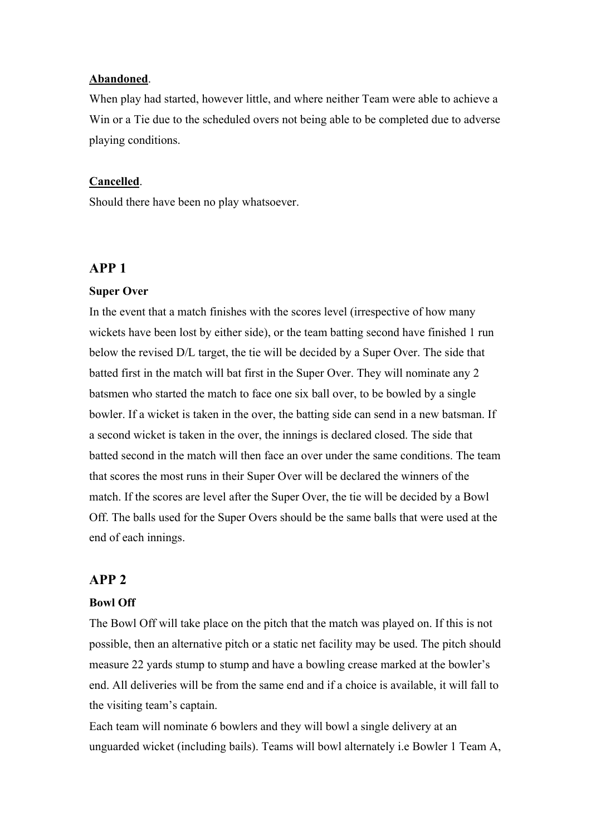## **Abandoned**.

When play had started, however little, and where neither Team were able to achieve a Win or a Tie due to the scheduled overs not being able to be completed due to adverse playing conditions.

#### **Cancelled**.

Should there have been no play whatsoever.

## **APP 1**

#### **Super Over**

In the event that a match finishes with the scores level (irrespective of how many wickets have been lost by either side), or the team batting second have finished 1 run below the revised D/L target, the tie will be decided by a Super Over. The side that batted first in the match will bat first in the Super Over. They will nominate any 2 batsmen who started the match to face one six ball over, to be bowled by a single bowler. If a wicket is taken in the over, the batting side can send in a new batsman. If a second wicket is taken in the over, the innings is declared closed. The side that batted second in the match will then face an over under the same conditions. The team that scores the most runs in their Super Over will be declared the winners of the match. If the scores are level after the Super Over, the tie will be decided by a Bowl Off. The balls used for the Super Overs should be the same balls that were used at the end of each innings.

# **APP 2**

#### **Bowl Off**

The Bowl Off will take place on the pitch that the match was played on. If this is not possible, then an alternative pitch or a static net facility may be used. The pitch should measure 22 yards stump to stump and have a bowling crease marked at the bowler's end. All deliveries will be from the same end and if a choice is available, it will fall to the visiting team's captain.

Each team will nominate 6 bowlers and they will bowl a single delivery at an unguarded wicket (including bails). Teams will bowl alternately i.e Bowler 1 Team A,